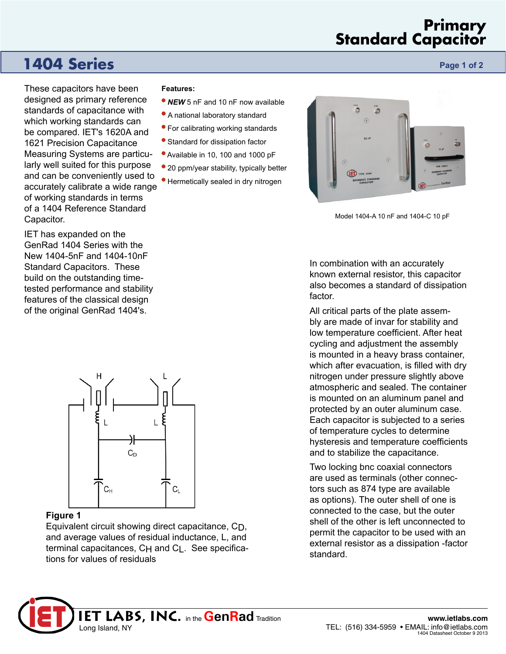## **Primary Standard Capacitor**

## **1404 Series Page 1 of 2 Page 1 of 2**

These capacitors have been designed as primary reference standards of capacitance with which working standards can be compared. IET's 1620A and 1621 Precision Capacitance Measuring Systems are particularly well suited for this purpose and can be conveniently used to accurately calibrate a wide range of working standards in terms of a 1404 Reference Standard Capacitor.

IET has expanded on the GenRad 1404 Series with the New 1404-5nF and 1404-10nF Standard Capacitors. These build on the outstanding timetested performance and stability features of the classical design of the original GenRad 1404's.

# $C_D$  $C_{H}$  $\mathtt{C_L}$

#### **Figure 1**

Equivalent circuit showing direct capacitance, CD, and average values of residual inductance, L, and terminal capacitances,  $CH$  and  $Cl$ . See specifications for values of residuals

#### **Features:**

- *NEW* 5 nF and 10 nF now available
- A national laboratory standard
- For calibrating working standards
- Standard for dissipation factor
- Available in 10, 100 and 1000 pF
- 20 ppm/year stability, typically better
- Hermetically sealed in dry nitrogen



Model 1404-A 10 nF and 1404-C 10 pF

In combination with an accurately known external resistor, this capacitor also becomes a standard of dissipation factor.

All critical parts of the plate assembly are made of invar for stability and low temperature coefficient. After heat cycling and adjustment the assembly is mounted in a heavy brass container, which after evacuation, is filled with dry nitrogen under pressure slightly above atmospheric and sealed. The container is mounted on an aluminum panel and protected by an outer aluminum case. Each capacitor is subjected to a series of temperature cycles to determine hysteresis and temperature coefficients and to stabilize the capacitance.

Two locking bnc coaxial connectors are used as terminals (other connectors such as 874 type are available as options). The outer shell of one is connected to the case, but the outer shell of the other is left unconnected to permit the capacitor to be used with an external resistor as a dissipation -factor standard.